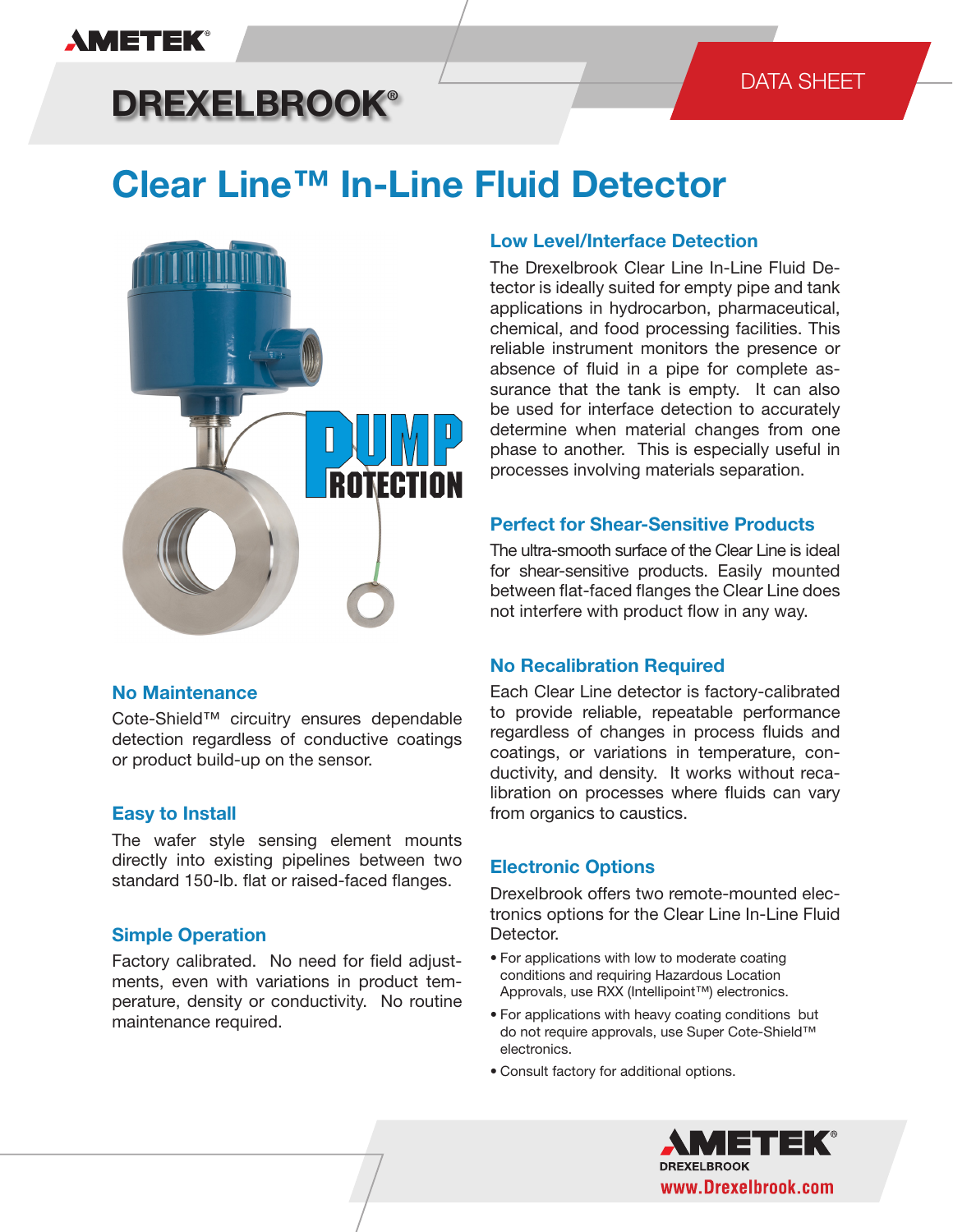## **AMETEK®**

## DATA SHEET

# **DREXELBROOK®**

# **Clear Line™ In-Line Fluid Detector**



## **No Maintenance**

Cote-Shield™ circuitry ensures dependable detection regardless of conductive coatings or product build-up on the sensor.

## **Easy to Install**

The wafer style sensing element mounts directly into existing pipelines between two standard 150-lb. flat or raised-faced flanges.

## **Simple Operation**

Factory calibrated. No need for field adjustments, even with variations in product temperature, density or conductivity. No routine maintenance required.

## **Low Level/Interface Detection**

The Drexelbrook Clear Line In-Line Fluid Detector is ideally suited for empty pipe and tank applications in hydrocarbon, pharmaceutical, chemical, and food processing facilities. This reliable instrument monitors the presence or absence of fluid in a pipe for complete assurance that the tank is empty. It can also be used for interface detection to accurately determine when material changes from one phase to another. This is especially useful in processes involving materials separation.

## **Perfect for Shear-Sensitive Products**

The ultra-smooth surface of the Clear Line is ideal for shear-sensitive products. Easily mounted between flat-faced flanges the Clear Line does not interfere with product flow in any way.

## **No Recalibration Required**

Each Clear Line detector is factory-calibrated to provide reliable, repeatable performance regardless of changes in process fluids and coatings, or variations in temperature, conductivity, and density. It works without recalibration on processes where fluids can vary from organics to caustics.

## **Electronic Options**

Drexelbrook offers two remote-mounted electronics options for the Clear Line In-Line Fluid Detector.

- For applications with low to moderate coating conditions and requiring Hazardous Location Approvals, use RXX (Intellipoint™) electronics.
- For applications with heavy coating conditions but do not require approvals, use Super Cote-Shield™ electronics.
- Consult factory for additional options.

**DREXELBROOK** www.Drexelbrook.com